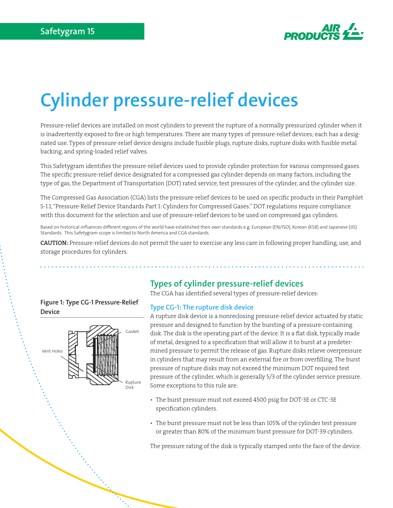

# **Cylinder pressure-relief devices**

Pressure-relief devices are installed on most cylinders to prevent the rupture of a normally pressurized cylinder when it is inadvertently exposed to fire or high temperatures. There are many types of pressure-relief devices; each has a designated use. Types of pressure-relief device designs include fusible plugs, rupture disks, rupture disks with fusible metal backing, and spring-loaded relief valves.

This Safetygram identifies the pressure-relief devices used to provide cylinder protection for various compressed gases. The specific pressure-relief device designated for a compressed gas cylinder depends on many factors, including the type of gas, the Department of Transportation (DOT) rated service, test pressures of the cylinder, and the cylinder size.

The Compressed Gas Association (CGA) lists the pressure-relief devices to be used on specific products in their Pamphlet S-1.1, "Pressure-Relief Device Standards Part 1: Cylinders for Compressed Gases." DOT regulations require compliance with this document for the selection and use of pressure-relief devices to be used on compressed gas cylinders.

Based on historical influences different regions of the world have established their own standards e.g. European (EN/ISO), Korean (KSB) and Japanese (JIS) Standards. This Safetygram scope is limited to North America and CGA standards.

CAUTION: Pressure-relief devices do not permit the user to exercise any less care in following proper handling, use, and storage procedures for cylinders.

### **Figure 1: Type CG-1 Pressure-Relief Device**



# **Types of cylinder pressure-relief devices**

The CGA has identified several types of pressure-relief devices:

### **Type CG-1: The rupture disk device**

A rupture disk device is a nonreclosing pressure-relief device actuated by static pressure and designed to function by the bursting of a pressure-containing disk. The disk is the operating part of the device. It is a flat disk, typically made of metal, designed to a specification that will allow it to burst at a predetermined pressure to permit the release of gas. Rupture disks relieve overpressure in cylinders that may result from an external fire or from overfilling. The burst pressure of rupture disks may not exceed the minimum DOT required test pressure of the cylinder, which is generally 5/3 of the cylinder service pressure. Some exceptions to this rule are:

- The burst pressure must not exceed 4500 psig for DOT-3E or CTC-3E specification cylinders.
- The burst pressure must not be less than 105% of the cylinder test pressure or greater than 80% of the minimum burst pressure for DOT-39 cylinders.

The pressure rating of the disk is typically stamped onto the face of the device.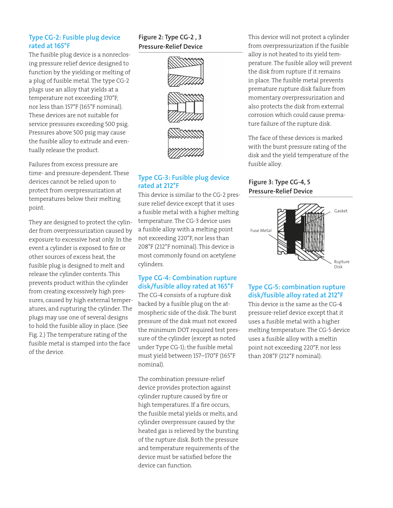### **Type CG-2: Fusible plug device rated at 165°F**

The fusible plug device is a nonreclosing pressure relief device designed to function by the yielding or melting of a plug of fusible metal. The type CG-2 plugs use an alloy that yields at a temperature not exceeding 170°F, nor less than 157°F (165°F nominal). These devices are not suitable for service pressures exceeding 500 psig. Pressures above 500 psig may cause the fusible alloy to extrude and eventually release the product.

Failures from excess pressure are time- and pressure-dependent. These devices cannot be relied upon to protect from overpressurization at temperatures below their melting point.

They are designed to protect the cylinder from overpressurization caused by exposure to excessive heat only. In the event a cylinder is exposed to fire or other sources of excess heat, the fusible plug is designed to melt and release the cylinder contents. This prevents product within the cylinder from creating excessively high pressures, caused by high external temperatures, and rupturing the cylinder. The plugs may use one of several designs to hold the fusible alloy in place. (See Fig. 2.) The temperature rating of the fusible metal is stamped into the face of the device.

## **Figure 2: Type CG-2 , 3 Pressure-Relief Device**



### **Type CG-3: Fusible plug device rated at 212°F**

This device is similar to the CG-2 pressure relief device except that it uses a fusible metal with a higher melting temperature. The CG-3 device uses a fusible alloy with a melting point not exceeding 220°F, nor less than 208°F (212°F nominal). This device is most commonly found on acetylene cylinders.

### **Type CG-4: Combination rupture disk/fusible alloy rated at 165°F**

The CG-4 consists of a rupture disk backed by a fusible plug on the atmospheric side of the disk. The burst pressure of the disk must not exceed the minimum DOT required test pressure of the cylinder (except as noted under Type CG-1); the fusible metal must yield between 157–170°F (165°F nominal).

The combination pressure-relief device provides protection against cylinder rupture caused by fire or high temperatures. If a fire occurs, the fusible metal yields or melts, and cylinder overpressure caused by the heated gas is relieved by the bursting of the rupture disk. Both the pressure and temperature requirements of the device must be satisfied before the device can function.

This device will not protect a cylinder from overpressurization if the fusible alloy is not heated to its yield temperature. The fusible alloy will prevent the disk from rupture if it remains in place. The fusible metal prevents premature rupture disk failure from momentary overpressurization and also protects the disk from external corrosion which could cause premature failure of the rupture disk.

The face of these devices is marked with the burst pressure rating of the disk and the yield temperature of the fusible alloy.

### **Figure 3: Type CG-4, 5 Pressure-Relief Device**



### **Type CG-5: combination rupture disk/fusible alloy rated at 212°F**

This device is the same as the CG-4 pressure-relief device except that it uses a fusible metal with a higher melting temperature. The CG-5 device uses a fusible alloy with a meltin point not exceeding 220°F, nor less than 208°F (212°F nominal).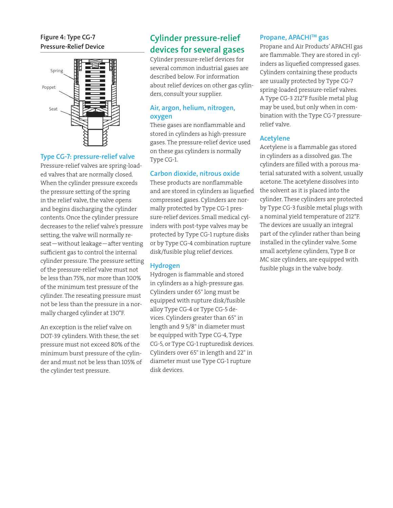### **Figure 4: Type CG-7 Pressure-Relief Device**



### **Type CG-7: pressure-relief valve**

Pressure-relief valves are spring-loaded valves that are normally closed. When the cylinder pressure exceeds the pressure setting of the spring in the relief valve, the valve opens and begins discharging the cylinder contents. Once the cylinder pressure decreases to the relief valve's pressure setting, the valve will normally reseat—without leakage—after venting sufficient gas to control the internal cylinder pressure. The pressure setting of the pressure-relief valve must not be less than 75%, nor more than 100% of the minimum test pressure of the cylinder. The reseating pressure must not be less than the pressure in a normally charged cylinder at 130°F.

An exception is the relief valve on DOT-39 cylinders. With these, the set pressure must not exceed 80% of the minimum burst pressure of the cylinder and must not be less than 105% of the cylinder test pressure.

# **Cylinder pressure-relief devices for several gases**

Cylinder pressure-relief devices for several common industrial gases are described below. For information about relief devices on other gas cylinders, consult your supplier.

### **Air, argon, helium, nitrogen, oxygen**

These gases are nonflammable and stored in cylinders as high-pressure gases. The pressure-relief device used on these gas cylinders is normally Type CG-1.

### **Carbon dioxide, nitrous oxide**

These products are nonflammable and are stored in cylinders as liquefied compressed gases. Cylinders are normally protected by Type CG-1 pressure-relief devices. Small medical cylinders with post-type valves may be protected by Type CG-1 rupture disks or by Type CG-4 combination rupture disk/fusible plug relief devices.

### **Hydrogen**

Hydrogen is flammable and stored in cylinders as a high-pressure gas. Cylinders under 65" long must be equipped with rupture disk/fusible alloy Type CG-4 or Type CG-5 devices. Cylinders greater than 65" in length and 9 5/8" in diameter must be equipped with Type CG-4, Type CG-5, or Type CG-1 rupturedisk devices. Cylinders over 65" in length and 22" in diameter must use Type CG-1 rupture disk devices.

### **Propane, APACHITM gas**

Propane and Air Products' APACHI gas are flammable. They are stored in cylinders as liquefied compressed gases. Cylinders containing these products are usually protected by Type CG-7 spring-loaded pressure-relief valves. A Type CG-3 212°F fusible metal plug may be used, but only when in combination with the Type CG-7 pressurerelief valve.

### **Acetylene**

Acetylene is a flammable gas stored in cylinders as a dissolved gas. The cylinders are filled with a porous material saturated with a solvent, usually acetone. The acetylene dissolves into the solvent as it is placed into the cylinder. These cylinders are protected by Type CG-3 fusible metal plugs with a nominal yield temperature of 212°F. The devices are usually an integral part of the cylinder rather than being installed in the cylinder valve. Some small acetylene cylinders, Type B or MC size cylinders, are equipped with fusible plugs in the valve body.